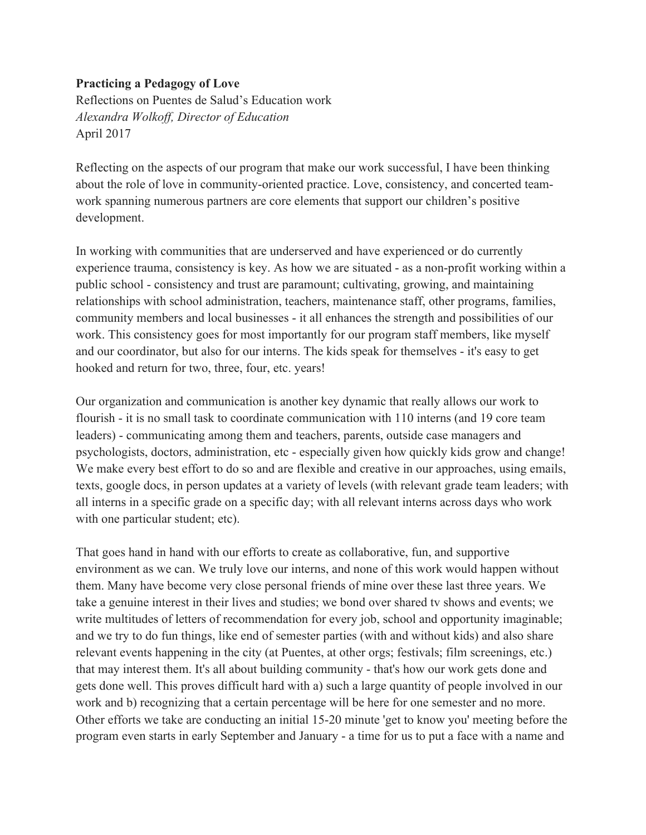## **Practicing a Pedagogy of Love**

Reflections on Puentes de Salud's Education work *Alexandra Wolkoff, Director of Education* April 2017

Reflecting on the aspects of our program that make our work successful, I have been thinking about the role of love in community-oriented practice. Love, consistency, and concerted teamwork spanning numerous partners are core elements that support our children's positive development.

In working with communities that are underserved and have experienced or do currently experience trauma, consistency is key. As how we are situated - as a non-profit working within a public school - consistency and trust are paramount; cultivating, growing, and maintaining relationships with school administration, teachers, maintenance staff, other programs, families, community members and local businesses - it all enhances the strength and possibilities of our work. This consistency goes for most importantly for our program staff members, like myself and our coordinator, but also for our interns. The kids speak for themselves - it's easy to get hooked and return for two, three, four, etc. years!

Our organization and communication is another key dynamic that really allows our work to flourish - it is no small task to coordinate communication with 110 interns (and 19 core team leaders) - communicating among them and teachers, parents, outside case managers and psychologists, doctors, administration, etc - especially given how quickly kids grow and change! We make every best effort to do so and are flexible and creative in our approaches, using emails, texts, google docs, in person updates at a variety of levels (with relevant grade team leaders; with all interns in a specific grade on a specific day; with all relevant interns across days who work with one particular student; etc).

That goes hand in hand with our efforts to create as collaborative, fun, and supportive environment as we can. We truly love our interns, and none of this work would happen without them. Many have become very close personal friends of mine over these last three years. We take a genuine interest in their lives and studies; we bond over shared tv shows and events; we write multitudes of letters of recommendation for every job, school and opportunity imaginable; and we try to do fun things, like end of semester parties (with and without kids) and also share relevant events happening in the city (at Puentes, at other orgs; festivals; film screenings, etc.) that may interest them. It's all about building community - that's how our work gets done and gets done well. This proves difficult hard with a) such a large quantity of people involved in our work and b) recognizing that a certain percentage will be here for one semester and no more. Other efforts we take are conducting an initial 15-20 minute 'get to know you' meeting before the program even starts in early September and January - a time for us to put a face with a name and